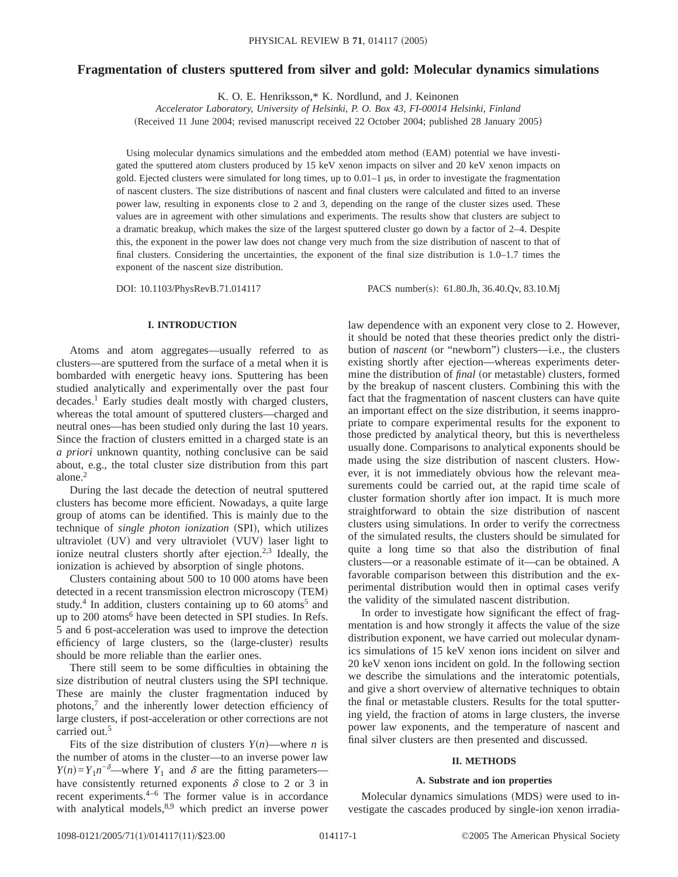# **Fragmentation of clusters sputtered from silver and gold: Molecular dynamics simulations**

K. O. E. Henriksson,\* K. Nordlund, and J. Keinonen

*Accelerator Laboratory, University of Helsinki, P. O. Box 43, FI-00014 Helsinki, Finland*

(Received 11 June 2004; revised manuscript received 22 October 2004; published 28 January 2005)

Using molecular dynamics simulations and the embedded atom method (EAM) potential we have investigated the sputtered atom clusters produced by 15 keV xenon impacts on silver and 20 keV xenon impacts on gold. Ejected clusters were simulated for long times, up to  $0.01-1$  µs, in order to investigate the fragmentation of nascent clusters. The size distributions of nascent and final clusters were calculated and fitted to an inverse power law, resulting in exponents close to 2 and 3, depending on the range of the cluster sizes used. These values are in agreement with other simulations and experiments. The results show that clusters are subject to a dramatic breakup, which makes the size of the largest sputtered cluster go down by a factor of 2–4. Despite this, the exponent in the power law does not change very much from the size distribution of nascent to that of final clusters. Considering the uncertainties, the exponent of the final size distribution is 1.0–1.7 times the exponent of the nascent size distribution.

DOI: 10.1103/PhysRevB.71.014117 PACS number(s): 61.80.Jh, 36.40.Qv, 83.10.Mj

## **I. INTRODUCTION**

Atoms and atom aggregates—usually referred to as clusters—are sputtered from the surface of a metal when it is bombarded with energetic heavy ions. Sputtering has been studied analytically and experimentally over the past four decades.1 Early studies dealt mostly with charged clusters, whereas the total amount of sputtered clusters—charged and neutral ones—has been studied only during the last 10 years. Since the fraction of clusters emitted in a charged state is an *a priori* unknown quantity, nothing conclusive can be said about, e.g., the total cluster size distribution from this part alone.<sup>2</sup>

During the last decade the detection of neutral sputtered clusters has become more efficient. Nowadays, a quite large group of atoms can be identified. This is mainly due to the technique of *single photon ionization* (SPI), which utilizes ultraviolet (UV) and very ultraviolet (VUV) laser light to ionize neutral clusters shortly after ejection.<sup>2,3</sup> Ideally, the ionization is achieved by absorption of single photons.

Clusters containing about 500 to 10 000 atoms have been detected in a recent transmission electron microscopy (TEM) study.<sup>4</sup> In addition, clusters containing up to 60 atoms<sup>5</sup> and up to 200 atoms<sup>6</sup> have been detected in SPI studies. In Refs. 5 and 6 post-acceleration was used to improve the detection efficiency of large clusters, so the (large-cluster) results should be more reliable than the earlier ones.

There still seem to be some difficulties in obtaining the size distribution of neutral clusters using the SPI technique. These are mainly the cluster fragmentation induced by photons,7 and the inherently lower detection efficiency of large clusters, if post-acceleration or other corrections are not carried out.5

Fits of the size distribution of clusters  $Y(n)$ —where *n* is the number of atoms in the cluster—to an inverse power law *Y*(*n*)=*Y*<sub>1</sub>*n*<sup>− $\delta$ </sup>—where *Y*<sub>1</sub> and  $\delta$  are the fitting parameters have consistently returned exponents  $\delta$  close to 2 or 3 in recent experiments.<sup>4–6</sup> The former value is in accordance with analytical models, <sup>8,9</sup> which predict an inverse power law dependence with an exponent very close to 2. However, it should be noted that these theories predict only the distribution of *nascent* (or "newborn") clusters—i.e., the clusters existing shortly after ejection—whereas experiments determine the distribution of *final* (or metastable) clusters, formed by the breakup of nascent clusters. Combining this with the fact that the fragmentation of nascent clusters can have quite an important effect on the size distribution, it seems inappropriate to compare experimental results for the exponent to those predicted by analytical theory, but this is nevertheless usually done. Comparisons to analytical exponents should be made using the size distribution of nascent clusters. However, it is not immediately obvious how the relevant measurements could be carried out, at the rapid time scale of cluster formation shortly after ion impact. It is much more straightforward to obtain the size distribution of nascent clusters using simulations. In order to verify the correctness of the simulated results, the clusters should be simulated for quite a long time so that also the distribution of final clusters—or a reasonable estimate of it—can be obtained. A favorable comparison between this distribution and the experimental distribution would then in optimal cases verify the validity of the simulated nascent distribution.

In order to investigate how significant the effect of fragmentation is and how strongly it affects the value of the size distribution exponent, we have carried out molecular dynamics simulations of 15 keV xenon ions incident on silver and 20 keV xenon ions incident on gold. In the following section we describe the simulations and the interatomic potentials, and give a short overview of alternative techniques to obtain the final or metastable clusters. Results for the total sputtering yield, the fraction of atoms in large clusters, the inverse power law exponents, and the temperature of nascent and final silver clusters are then presented and discussed.

## **II. METHODS**

## **A. Substrate and ion properties**

Molecular dynamics simulations (MDS) were used to investigate the cascades produced by single-ion xenon irradia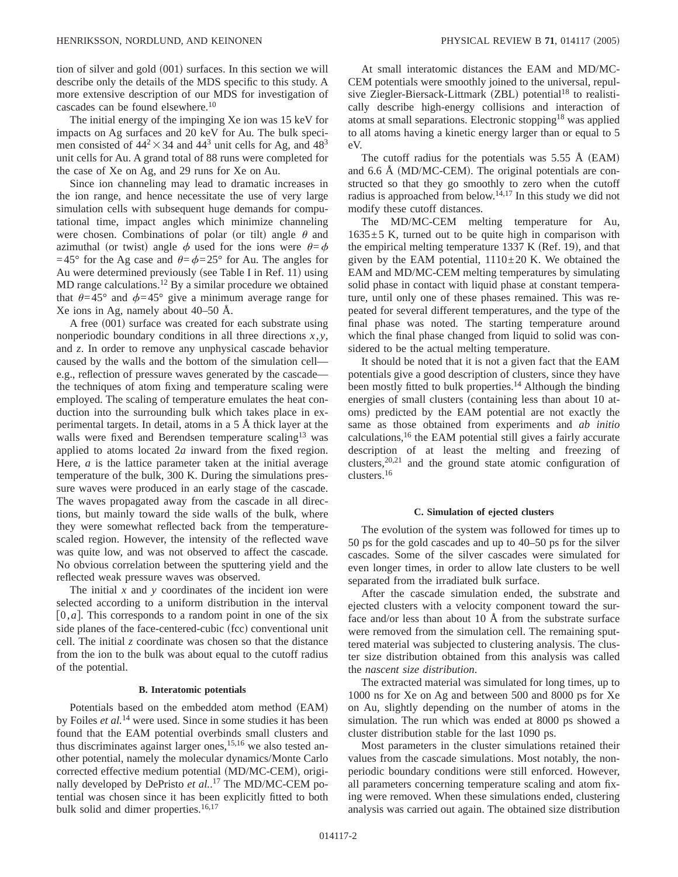tion of silver and gold  $(001)$  surfaces. In this section we will describe only the details of the MDS specific to this study. A more extensive description of our MDS for investigation of cascades can be found elsewhere.<sup>10</sup>

The initial energy of the impinging Xe ion was 15 keV for impacts on Ag surfaces and 20 keV for Au. The bulk specimen consisted of  $44<sup>2</sup> \times 34$  and  $44<sup>3</sup>$  unit cells for Ag, and  $48<sup>3</sup>$ unit cells for Au. A grand total of 88 runs were completed for the case of Xe on Ag, and 29 runs for Xe on Au.

Since ion channeling may lead to dramatic increases in the ion range, and hence necessitate the use of very large simulation cells with subsequent huge demands for computational time, impact angles which minimize channeling were chosen. Combinations of polar (or tilt) angle  $\theta$  and azimuthal (or twist) angle  $\phi$  used for the ions were  $\theta = \phi$ =45° for the Ag case and  $\theta = \phi = 25$ ° for Au. The angles for Au were determined previously (see Table I in Ref. 11) using MD range calculations.<sup>12</sup> By a similar procedure we obtained that  $\theta=45^{\circ}$  and  $\phi=45^{\circ}$  give a minimum average range for Xe ions in Ag, namely about 40–50 Å.

A free  $(001)$  surface was created for each substrate using nonperiodic boundary conditions in all three directions *x*, *y*, and *z*. In order to remove any unphysical cascade behavior caused by the walls and the bottom of the simulation cell e.g., reflection of pressure waves generated by the cascade the techniques of atom fixing and temperature scaling were employed. The scaling of temperature emulates the heat conduction into the surrounding bulk which takes place in experimental targets. In detail, atoms in a  $5\,\text{\AA}$  thick layer at the walls were fixed and Berendsen temperature scaling<sup>13</sup> was applied to atoms located 2*a* inward from the fixed region. Here, *a* is the lattice parameter taken at the initial average temperature of the bulk, 300 K. During the simulations pressure waves were produced in an early stage of the cascade. The waves propagated away from the cascade in all directions, but mainly toward the side walls of the bulk, where they were somewhat reflected back from the temperaturescaled region. However, the intensity of the reflected wave was quite low, and was not observed to affect the cascade. No obvious correlation between the sputtering yield and the reflected weak pressure waves was observed.

The initial *x* and *y* coordinates of the incident ion were selected according to a uniform distribution in the interval  $[0, a]$ . This corresponds to a random point in one of the six side planes of the face-centered-cubic (fcc) conventional unit cell. The initial *z* coordinate was chosen so that the distance from the ion to the bulk was about equal to the cutoff radius of the potential.

#### **B. Interatomic potentials**

Potentials based on the embedded atom method (EAM) by Foiles *et al.*<sup>14</sup> were used. Since in some studies it has been found that the EAM potential overbinds small clusters and thus discriminates against larger ones,  $15,16$  we also tested another potential, namely the molecular dynamics/Monte Carlo corrected effective medium potential (MD/MC-CEM), originally developed by DePristo *et al.*. <sup>17</sup> The MD/MC-CEM potential was chosen since it has been explicitly fitted to both bulk solid and dimer properties.<sup>16,17</sup>

At small interatomic distances the EAM and MD/MC-CEM potentials were smoothly joined to the universal, repulsive Ziegler-Biersack-Littmark (ZBL) potential<sup>18</sup> to realistically describe high-energy collisions and interaction of atoms at small separations. Electronic stopping<sup>18</sup> was applied to all atoms having a kinetic energy larger than or equal to 5 eV.

The cutoff radius for the potentials was  $5.55 \text{ Å}$  (EAM) and  $6.6$  Å (MD/MC-CEM). The original potentials are constructed so that they go smoothly to zero when the cutoff radius is approached from below.<sup>14,17</sup> In this study we did not modify these cutoff distances.

The MD/MC-CEM melting temperature for Au,  $1635±5$  K, turned out to be quite high in comparison with the empirical melting temperature 1337 K (Ref. 19), and that given by the EAM potential,  $1110 \pm 20$  K. We obtained the EAM and MD/MC-CEM melting temperatures by simulating solid phase in contact with liquid phase at constant temperature, until only one of these phases remained. This was repeated for several different temperatures, and the type of the final phase was noted. The starting temperature around which the final phase changed from liquid to solid was considered to be the actual melting temperature.

It should be noted that it is not a given fact that the EAM potentials give a good description of clusters, since they have been mostly fitted to bulk properties.<sup>14</sup> Although the binding energies of small clusters (containing less than about 10 atoms) predicted by the EAM potential are not exactly the same as those obtained from experiments and *ab initio* calculations, $16$  the EAM potential still gives a fairly accurate description of at least the melting and freezing of clusters,  $20,21$  and the ground state atomic configuration of clusters.16

## **C. Simulation of ejected clusters**

The evolution of the system was followed for times up to 50 ps for the gold cascades and up to 40–50 ps for the silver cascades. Some of the silver cascades were simulated for even longer times, in order to allow late clusters to be well separated from the irradiated bulk surface.

After the cascade simulation ended, the substrate and ejected clusters with a velocity component toward the surface and/or less than about 10 Å from the substrate surface were removed from the simulation cell. The remaining sputtered material was subjected to clustering analysis. The cluster size distribution obtained from this analysis was called the *nascent size distribution*.

The extracted material was simulated for long times, up to 1000 ns for Xe on Ag and between 500 and 8000 ps for Xe on Au, slightly depending on the number of atoms in the simulation. The run which was ended at 8000 ps showed a cluster distribution stable for the last 1090 ps.

Most parameters in the cluster simulations retained their values from the cascade simulations. Most notably, the nonperiodic boundary conditions were still enforced. However, all parameters concerning temperature scaling and atom fixing were removed. When these simulations ended, clustering analysis was carried out again. The obtained size distribution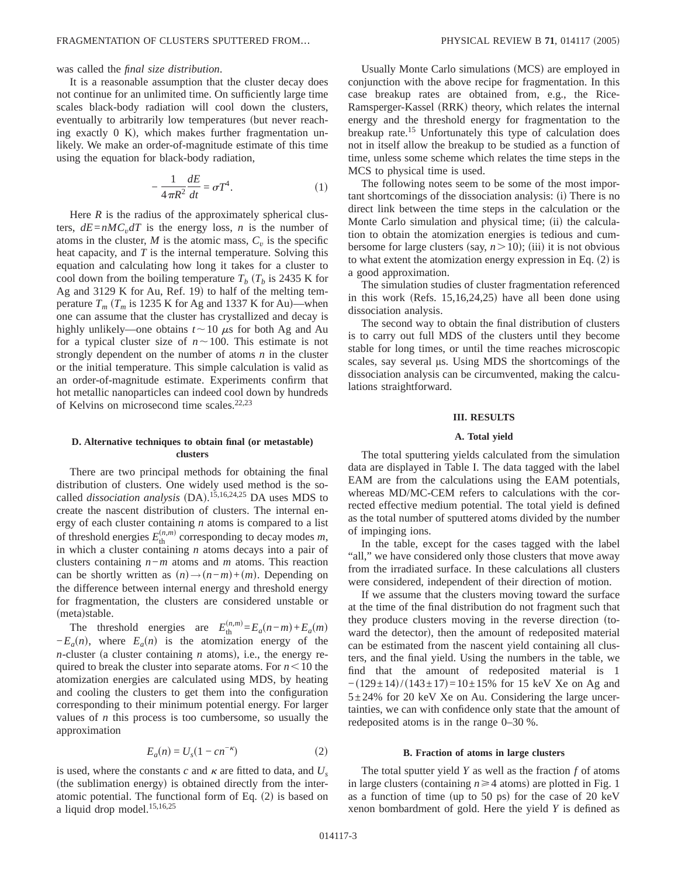### was called the *final size distribution*.

It is a reasonable assumption that the cluster decay does not continue for an unlimited time. On sufficiently large time scales black-body radiation will cool down the clusters, eventually to arbitrarily low temperatures (but never reaching exactly  $0$  K), which makes further fragmentation unlikely. We make an order-of-magnitude estimate of this time using the equation for black-body radiation,

$$
-\frac{1}{4\pi R^2}\frac{dE}{dt} = \sigma T^4.
$$
 (1)

Here  $R$  is the radius of the approximately spherical clusters,  $dE = nMC_v dT$  is the energy loss, *n* is the number of atoms in the cluster,  $M$  is the atomic mass,  $C_v$  is the specific heat capacity, and *T* is the internal temperature. Solving this equation and calculating how long it takes for a cluster to cool down from the boiling temperature  $T_b$  ( $T_b$  is 2435 K for Ag and 3129 K for Au, Ref. 19) to half of the melting temperature  $T_m$  ( $T_m$  is 1235 K for Ag and 1337 K for Au)—when one can assume that the cluster has crystallized and decay is highly unlikely—one obtains  $t \sim 10 \mu s$  for both Ag and Au for a typical cluster size of  $n \sim 100$ . This estimate is not strongly dependent on the number of atoms *n* in the cluster or the initial temperature. This simple calculation is valid as an order-of-magnitude estimate. Experiments confirm that hot metallic nanoparticles can indeed cool down by hundreds of Kelvins on microsecond time scales.<sup>22,23</sup>

## **D. Alternative techniques to obtain final (or metastable) clusters**

There are two principal methods for obtaining the final distribution of clusters. One widely used method is the socalled *dissociation analysis* (DA).<sup>15,16,24,25</sup> DA uses MDS to create the nascent distribution of clusters. The internal energy of each cluster containing *n* atoms is compared to a list of threshold energies  $E_{\text{th}}^{(n,m)}$  corresponding to decay modes *m*, in which a cluster containing *n* atoms decays into a pair of clusters containing *n*−*m* atoms and *m* atoms. This reaction can be shortly written as  $(n) \rightarrow (n-m)+(m)$ . Depending on the difference between internal energy and threshold energy for fragmentation, the clusters are considered unstable or (meta)stable.

The threshold energies are  $E_{\text{th}}^{(n,m)} = E_a(n-m) + E_a(m)$  $-E_a(n)$ , where  $E_a(n)$  is the atomization energy of the *n*-cluster (a cluster containing *n* atoms), i.e., the energy required to break the cluster into separate atoms. For  $n < 10$  the atomization energies are calculated using MDS, by heating and cooling the clusters to get them into the configuration corresponding to their minimum potential energy. For larger values of *n* this process is too cumbersome, so usually the approximation

$$
E_a(n) = U_s(1 - c n^{-\kappa})
$$
 (2)

is used, where the constants c and  $\kappa$  are fitted to data, and  $U_s$ (the sublimation energy) is obtained directly from the interatomic potential. The functional form of Eq.  $(2)$  is based on a liquid drop model.15,16,25

Usually Monte Carlo simulations (MCS) are employed in conjunction with the above recipe for fragmentation. In this case breakup rates are obtained from, e.g., the Rice-Ramsperger-Kassel (RRK) theory, which relates the internal energy and the threshold energy for fragmentation to the breakup rate.<sup>15</sup> Unfortunately this type of calculation does not in itself allow the breakup to be studied as a function of time, unless some scheme which relates the time steps in the MCS to physical time is used.

The following notes seem to be some of the most important shortcomings of the dissociation analysis: (i) There is no direct link between the time steps in the calculation or the Monte Carlo simulation and physical time; (ii) the calculation to obtain the atomization energies is tedious and cumbersome for large clusters (say,  $n > 10$ ); (iii) it is not obvious to what extent the atomization energy expression in Eq.  $(2)$  is a good approximation.

The simulation studies of cluster fragmentation referenced in this work (Refs.  $15,16,24,25$ ) have all been done using dissociation analysis.

The second way to obtain the final distribution of clusters is to carry out full MDS of the clusters until they become stable for long times, or until the time reaches microscopic scales, say several  $\mu$ s. Using MDS the shortcomings of the dissociation analysis can be circumvented, making the calculations straightforward.

#### **III. RESULTS**

### **A. Total yield**

The total sputtering yields calculated from the simulation data are displayed in Table I. The data tagged with the label EAM are from the calculations using the EAM potentials, whereas MD/MC-CEM refers to calculations with the corrected effective medium potential. The total yield is defined as the total number of sputtered atoms divided by the number of impinging ions.

In the table, except for the cases tagged with the label "all," we have considered only those clusters that move away from the irradiated surface. In these calculations all clusters were considered, independent of their direction of motion.

If we assume that the clusters moving toward the surface at the time of the final distribution do not fragment such that they produce clusters moving in the reverse direction (toward the detector), then the amount of redeposited material can be estimated from the nascent yield containing all clusters, and the final yield. Using the numbers in the table, we find that the amount of redeposited material is 1  $-(129\pm14)/(143\pm17)=10\pm15%$  for 15 keV Xe on Ag and  $5\pm24\%$  for 20 keV Xe on Au. Considering the large uncertainties, we can with confidence only state that the amount of redeposited atoms is in the range 0–30 %.

### **B. Fraction of atoms in large clusters**

The total sputter yield *Y* as well as the fraction *f* of atoms in large clusters (containing  $n \geq 4$  atoms) are plotted in Fig. 1 as a function of time (up to 50 ps) for the case of 20 keV xenon bombardment of gold. Here the yield *Y* is defined as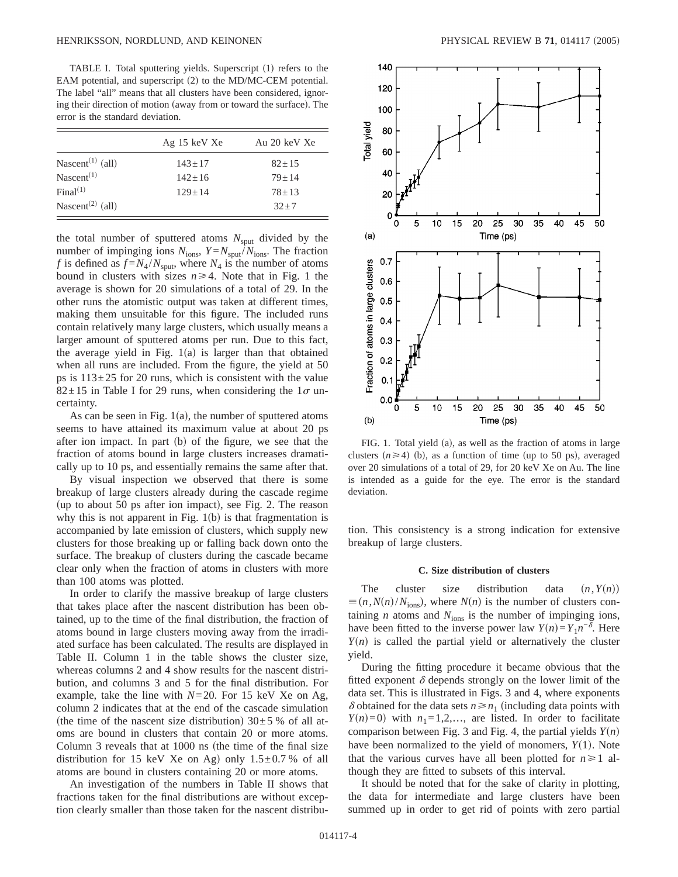TABLE I. Total sputtering yields. Superscript (1) refers to the EAM potential, and superscript  $(2)$  to the MD/MC-CEM potential. The label "all" means that all clusters have been considered, ignoring their direction of motion (away from or toward the surface). The error is the standard deviation.

|                              | Ag 15 keV Xe | Au 20 keV Xe |
|------------------------------|--------------|--------------|
| Nascent <sup>(1)</sup> (all) | $143 + 17$   | $82 + 15$    |
| Nascent $(1)$                | $142 + 16$   | $79 + 14$    |
| Final <sup>(1)</sup>         | $129 + 14$   | $78 + 13$    |
| Nascent <sup>(2)</sup> (all) |              | $32 + 7$     |

the total number of sputtered atoms  $N_{\text{sput}}$  divided by the number of impinging ions  $N_{\text{ions}}$ ,  $Y = N_{\text{sput}}/N_{\text{ions}}$ . The fraction *f* is defined as  $f = N_4 / N_{\text{sput}}$ , where  $N_4$  is the number of atoms bound in clusters with sizes  $n \geq 4$ . Note that in Fig. 1 the average is shown for 20 simulations of a total of 29. In the other runs the atomistic output was taken at different times, making them unsuitable for this figure. The included runs contain relatively many large clusters, which usually means a larger amount of sputtered atoms per run. Due to this fact, the average yield in Fig.  $1(a)$  is larger than that obtained when all runs are included. From the figure, the yield at 50 ps is  $113\pm 25$  for 20 runs, which is consistent with the value  $82\pm15$  in Table I for 29 runs, when considering the  $1\sigma$  uncertainty.

As can be seen in Fig.  $1(a)$ , the number of sputtered atoms seems to have attained its maximum value at about 20 ps after ion impact. In part  $(b)$  of the figure, we see that the fraction of atoms bound in large clusters increases dramatically up to 10 ps, and essentially remains the same after that.

By visual inspection we observed that there is some breakup of large clusters already during the cascade regime (up to about 50 ps after ion impact), see Fig. 2. The reason why this is not apparent in Fig.  $1(b)$  is that fragmentation is accompanied by late emission of clusters, which supply new clusters for those breaking up or falling back down onto the surface. The breakup of clusters during the cascade became clear only when the fraction of atoms in clusters with more than 100 atoms was plotted.

In order to clarify the massive breakup of large clusters that takes place after the nascent distribution has been obtained, up to the time of the final distribution, the fraction of atoms bound in large clusters moving away from the irradiated surface has been calculated. The results are displayed in Table II. Column 1 in the table shows the cluster size, whereas columns 2 and 4 show results for the nascent distribution, and columns 3 and 5 for the final distribution. For example, take the line with  $N=20$ . For 15 keV Xe on Ag, column 2 indicates that at the end of the cascade simulation (the time of the nascent size distribution)  $30±5%$  of all atoms are bound in clusters that contain 20 or more atoms. Column 3 reveals that at  $1000$  ns (the time of the final size distribution for 15 keV Xe on Ag) only  $1.5\pm0.7$  % of all atoms are bound in clusters containing 20 or more atoms.

An investigation of the numbers in Table II shows that fractions taken for the final distributions are without exception clearly smaller than those taken for the nascent distribu-



FIG. 1. Total yield  $(a)$ , as well as the fraction of atoms in large clusters  $(n \ge 4)$  (b), as a function of time (up to 50 ps), averaged over 20 simulations of a total of 29, for 20 keV Xe on Au. The line is intended as a guide for the eye. The error is the standard deviation.

tion. This consistency is a strong indication for extensive breakup of large clusters.

## **C. Size distribution of clusters**

The cluster size distribution data  $(n, Y(n))$  $\equiv (n, N(n)/N_{\text{ions}})$ , where *N*(*n*) is the number of clusters containing  $n$  atoms and  $N_{\text{ions}}$  is the number of impinging ions, have been fitted to the inverse power law  $Y(n)=Y_1n^{-\delta}$ . Here  $Y(n)$  is called the partial yield or alternatively the cluster yield.

During the fitting procedure it became obvious that the fitted exponent  $\delta$  depends strongly on the lower limit of the data set. This is illustrated in Figs. 3 and 4, where exponents  $\delta$  obtained for the data sets  $n \geq n_1$  (including data points with  $Y(n)=0$ ) with  $n_1=1,2,...$ , are listed. In order to facilitate comparison between Fig. 3 and Fig. 4, the partial yields  $Y(n)$ have been normalized to the yield of monomers,  $Y(1)$ . Note that the various curves have all been plotted for  $n \geq 1$  although they are fitted to subsets of this interval.

It should be noted that for the sake of clarity in plotting, the data for intermediate and large clusters have been summed up in order to get rid of points with zero partial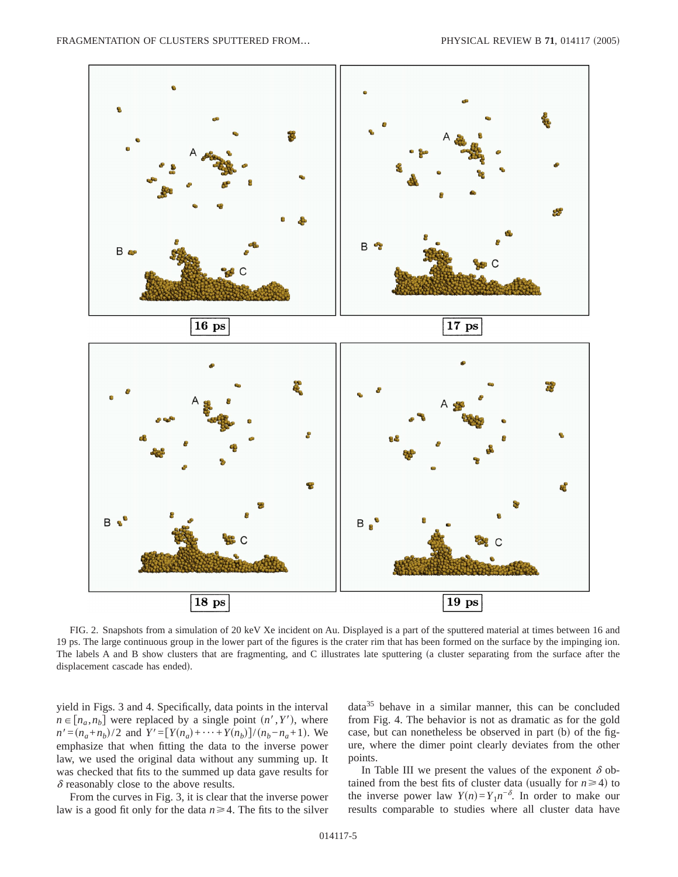

FIG. 2. Snapshots from a simulation of 20 keV Xe incident on Au. Displayed is a part of the sputtered material at times between 16 and 19 ps. The large continuous group in the lower part of the figures is the crater rim that has been formed on the surface by the impinging ion. The labels A and B show clusters that are fragmenting, and C illustrates late sputtering (a cluster separating from the surface after the displacement cascade has ended).

yield in Figs. 3 and 4. Specifically, data points in the interval  $n \in [n_a, n_b]$  were replaced by a single point  $(n', Y')$ , where  $n' = (n_a + n_b)/2$  and  $Y' = [Y(n_a) + \cdots + Y(n_b)]/(n_b - n_a + 1)$ . We emphasize that when fitting the data to the inverse power law, we used the original data without any summing up. It was checked that fits to the summed up data gave results for  $\delta$  reasonably close to the above results.

From the curves in Fig. 3, it is clear that the inverse power law is a good fit only for the data  $n \geq 4$ . The fits to the silver data35 behave in a similar manner, this can be concluded from Fig. 4. The behavior is not as dramatic as for the gold case, but can nonetheless be observed in part  $(b)$  of the figure, where the dimer point clearly deviates from the other points.

In Table III we present the values of the exponent  $\delta$  obtained from the best fits of cluster data (usually for  $n \ge 4$ ) to the inverse power law  $Y(n)=Y_1n^{-\delta}$ . In order to make our results comparable to studies where all cluster data have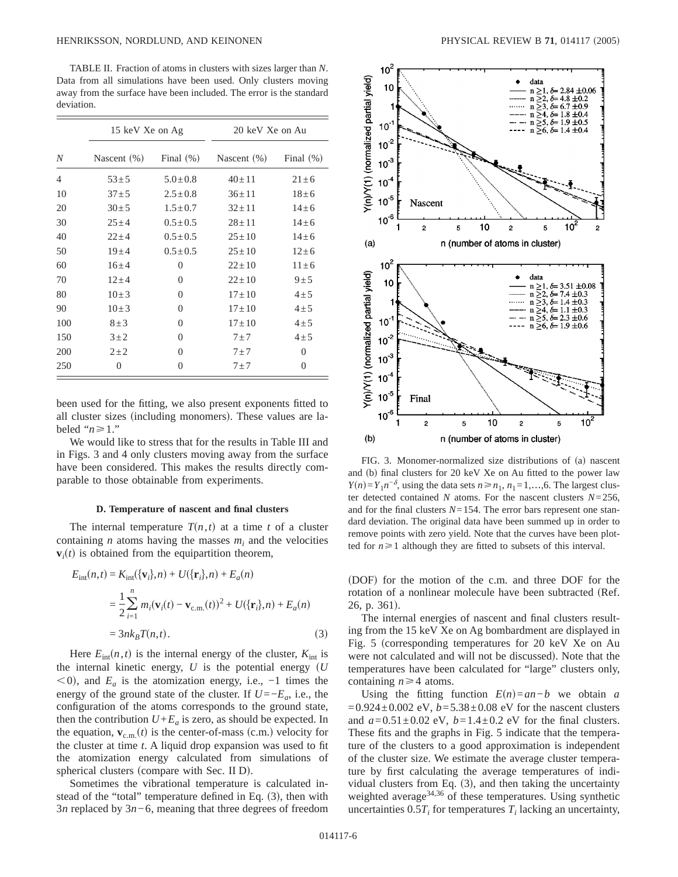TABLE II. Fraction of atoms in clusters with sizes larger than *N*. Data from all simulations have been used. Only clusters moving away from the surface have been included. The error is the standard deviation.

|                  | 15 keV Xe on Ag |               | 20 keV Xe on Au |              |
|------------------|-----------------|---------------|-----------------|--------------|
| $\boldsymbol{N}$ | Nascent $(\%)$  | Final $(\%)$  | Nascent (%)     | Final $(\%)$ |
| $\overline{4}$   | $53 \pm 5$      | $5.0 \pm 0.8$ | $40 \pm 11$     | $21 \pm 6$   |
| 10               | $37 + 5$        | $2.5 \pm 0.8$ | $36 \pm 11$     | $18 + 6$     |
| 20               | $30 \pm 5$      | $1.5 \pm 0.7$ | $32 \pm 11$     | $14 \pm 6$   |
| 30               | $25 \pm 4$      | $0.5 \pm 0.5$ | $28 + 11$       | $14 + 6$     |
| 40               | $22 + 4$        | $0.5 \pm 0.5$ | $25 \pm 10$     | $14 + 6$     |
| 50               | $19 + 4$        | $0.5 \pm 0.5$ | $25 \pm 10$     | $12 \pm 6$   |
| 60               | $16 + 4$        | $\Omega$      | $22+10$         | $11 + 6$     |
| 70               | $12 + 4$        | $\Omega$      | $22+10$         | 9±5          |
| 80               | $10\pm3$        | $\Omega$      | $17 + 10$       | $4\pm 5$     |
| 90               | $10\pm3$        | $\Omega$      | $17 \pm 10$     | $4\pm 5$     |
| 100              | $8 \pm 3$       | $\Omega$      | $17 \pm 10$     | $4\pm 5$     |
| 150              | $3\pm2$         | $\Omega$      | $7\pm7$         | $4\pm 5$     |
| 200              | $2\pm 2$        | 0             | $7\pm7$         | $\Omega$     |
| 250              | $\Omega$        | 0             | $7\pm7$         | 0            |

been used for the fitting, we also present exponents fitted to all cluster sizes (including monomers). These values are labeled " $n \ge 1$ ."

We would like to stress that for the results in Table III and in Figs. 3 and 4 only clusters moving away from the surface have been considered. This makes the results directly comparable to those obtainable from experiments.

## **D. Temperature of nascent and final clusters**

The internal temperature  $T(n,t)$  at a time *t* of a cluster containing  $n$  atoms having the masses  $m_i$  and the velocities  $\mathbf{v}_i(t)$  is obtained from the equipartition theorem,

$$
E_{int}(n,t) = K_{int}(\{\mathbf{v}_i\},n) + U(\{\mathbf{r}_i\},n) + E_a(n)
$$
  
=  $\frac{1}{2} \sum_{i=1}^n m_i (\mathbf{v}_i(t) - \mathbf{v}_{c.m.}(t))^2 + U(\{\mathbf{r}_i\},n) + E_a(n)$   
=  $3nk_B T(n,t)$ . (3)

Here  $E_{\text{int}}(n,t)$  is the internal energy of the cluster,  $K_{\text{int}}$  is the internal kinetic energy,  $U$  is the potential energy  $(U$  $(0, 0)$ , and  $E_a$  is the atomization energy, i.e.,  $-1$  times the energy of the ground state of the cluster. If  $U=-E_a$ , i.e., the configuration of the atoms corresponds to the ground state, then the contribution  $U + E_a$  is zero, as should be expected. In the equation,  $\mathbf{v}_{c.m.}(t)$  is the center-of-mass (c.m.) velocity for the cluster at time *t*. A liquid drop expansion was used to fit the atomization energy calculated from simulations of spherical clusters (compare with Sec. II D).

Sometimes the vibrational temperature is calculated instead of the "total" temperature defined in Eq.  $(3)$ , then with 3*n* replaced by 3*n*−6, meaning that three degrees of freedom



FIG. 3. Monomer-normalized size distributions of (a) nascent and (b) final clusters for 20 keV Xe on Au fitted to the power law *Y*(*n*)=*Y*<sub>1</sub>*n*<sup>− $\delta$ </sup>, using the data sets *n*≥*n*<sub>1</sub>, *n*<sub>1</sub>=1,…,6. The largest cluster detected contained *N* atoms. For the nascent clusters *N*=256, and for the final clusters  $N=154$ . The error bars represent one standard deviation. The original data have been summed up in order to remove points with zero yield. Note that the curves have been plotted for  $n \geq 1$  although they are fitted to subsets of this interval.

(DOF) for the motion of the c.m. and three DOF for the rotation of a nonlinear molecule have been subtracted (Ref.  $26$ , p.  $361$ ).

The internal energies of nascent and final clusters resulting from the 15 keV Xe on Ag bombardment are displayed in Fig. 5 (corresponding temperatures for 20 keV Xe on Au were not calculated and will not be discussed). Note that the temperatures have been calculated for "large" clusters only, containing  $n \geq 4$  atoms.

Using the fitting function  $E(n)=an-b$  we obtain *a*  $=0.924\pm0.002$  eV,  $b=5.38\pm0.08$  eV for the nascent clusters and  $a=0.51\pm0.02$  eV,  $b=1.4\pm0.2$  eV for the final clusters. These fits and the graphs in Fig. 5 indicate that the temperature of the clusters to a good approximation is independent of the cluster size. We estimate the average cluster temperature by first calculating the average temperatures of individual clusters from Eq.  $(3)$ , and then taking the uncertainty weighted average<sup>34,36</sup> of these temperatures. Using synthetic uncertainties  $0.5T_i$  for temperatures  $T_i$  lacking an uncertainty,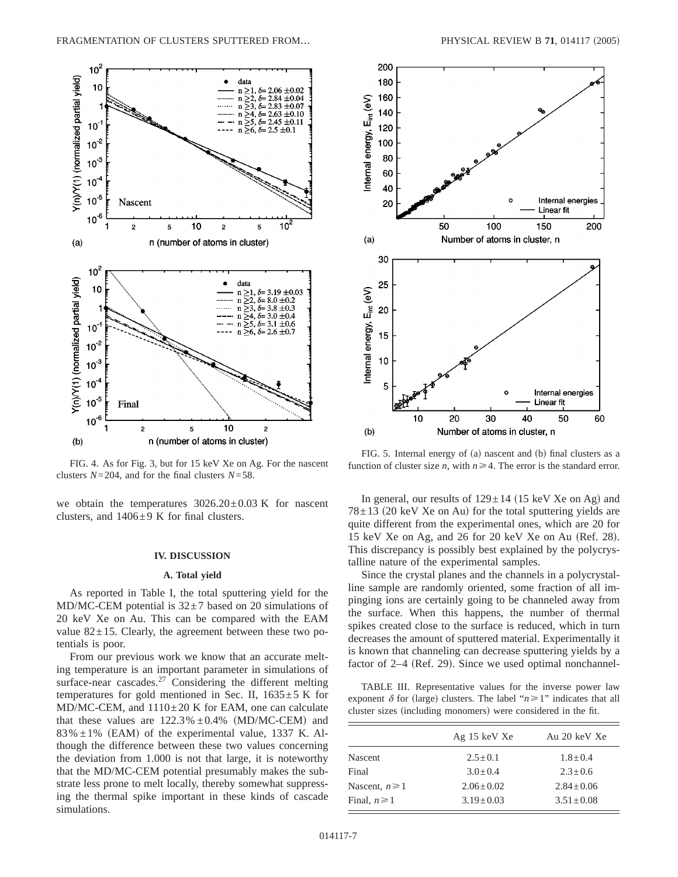

FIG. 4. As for Fig. 3, but for 15 keV Xe on Ag. For the nascent clusters *N*=204, and for the final clusters *N*=58.

we obtain the temperatures  $3026.20 \pm 0.03$  K for nascent clusters, and  $1406 \pm 9$  K for final clusters.

## **IV. DISCUSSION**

## **A. Total yield**

As reported in Table I, the total sputtering yield for the MD/MC-CEM potential is  $32\pm7$  based on 20 simulations of 20 keV Xe on Au. This can be compared with the EAM value  $82 \pm 15$ . Clearly, the agreement between these two potentials is poor.

From our previous work we know that an accurate melting temperature is an important parameter in simulations of surface-near cascades. $27$  Considering the different melting temperatures for gold mentioned in Sec. II,  $1635 \pm 5$  K for  $MD/MC-CEM$ , and  $1110 \pm 20$  K for EAM, one can calculate that these values are  $122.3\% \pm 0.4\%$  (MD/MC-CEM) and  $83\% \pm 1\%$  (EAM) of the experimental value, 1337 K. Although the difference between these two values concerning the deviation from 1.000 is not that large, it is noteworthy that the MD/MC-CEM potential presumably makes the substrate less prone to melt locally, thereby somewhat suppressing the thermal spike important in these kinds of cascade simulations.



FIG. 5. Internal energy of (a) nascent and (b) final clusters as a function of cluster size *n*, with  $n \ge 4$ . The error is the standard error.

In general, our results of  $129 \pm 14$  (15 keV Xe on Ag) and  $78 \pm 13$  (20 keV Xe on Au) for the total sputtering yields are quite different from the experimental ones, which are 20 for 15 keV Xe on Ag, and 26 for 20 keV Xe on Au (Ref. 28). This discrepancy is possibly best explained by the polycrystalline nature of the experimental samples.

Since the crystal planes and the channels in a polycrystalline sample are randomly oriented, some fraction of all impinging ions are certainly going to be channeled away from the surface. When this happens, the number of thermal spikes created close to the surface is reduced, which in turn decreases the amount of sputtered material. Experimentally it is known that channeling can decrease sputtering yields by a factor of  $2-4$  (Ref. 29). Since we used optimal nonchannel-

TABLE III. Representative values for the inverse power law exponent  $\delta$  for (large) clusters. The label " $n \ge 1$ " indicates that all cluster sizes (including monomers) were considered in the fit.

|                    | Ag 15 keV Xe    | Au 20 keV Xe    |
|--------------------|-----------------|-----------------|
| <b>Nascent</b>     | $2.5 \pm 0.1$   | $1.8 \pm 0.4$   |
| Final              | $3.0 + 0.4$     | $2.3 + 0.6$     |
| Nascent, $n \ge 1$ | $2.06 + 0.02$   | $2.84 + 0.06$   |
| Final, $n \ge 1$   | $3.19 \pm 0.03$ | $3.51 \pm 0.08$ |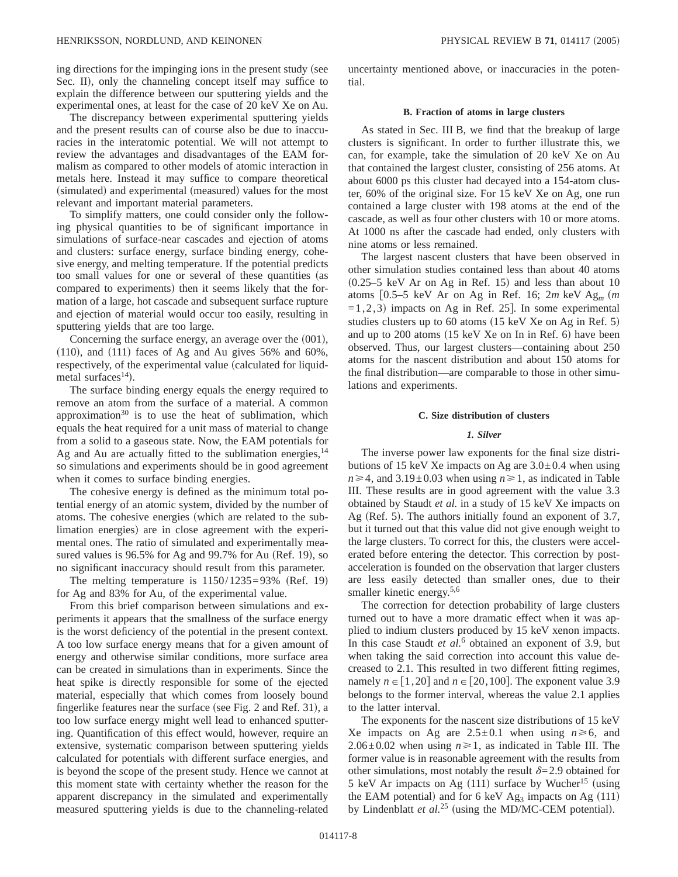ing directions for the impinging ions in the present study (see Sec. II), only the channeling concept itself may suffice to explain the difference between our sputtering yields and the experimental ones, at least for the case of 20 keV Xe on Au.

The discrepancy between experimental sputtering yields and the present results can of course also be due to inaccuracies in the interatomic potential. We will not attempt to review the advantages and disadvantages of the EAM formalism as compared to other models of atomic interaction in metals here. Instead it may suffice to compare theoretical (simulated) and experimental (measured) values for the most relevant and important material parameters.

To simplify matters, one could consider only the following physical quantities to be of significant importance in simulations of surface-near cascades and ejection of atoms and clusters: surface energy, surface binding energy, cohesive energy, and melting temperature. If the potential predicts too small values for one or several of these quantities (as compared to experiments) then it seems likely that the formation of a large, hot cascade and subsequent surface rupture and ejection of material would occur too easily, resulting in sputtering yields that are too large.

Concerning the surface energy, an average over the  $(001)$ ,  $(110)$ , and  $(111)$  faces of Ag and Au gives 56% and 60%, respectively, of the experimental value (calculated for liquidmetal surfaces<sup>14</sup>).

The surface binding energy equals the energy required to remove an atom from the surface of a material. A common approximation $30$  is to use the heat of sublimation, which equals the heat required for a unit mass of material to change from a solid to a gaseous state. Now, the EAM potentials for Ag and Au are actually fitted to the sublimation energies,  $14$ so simulations and experiments should be in good agreement when it comes to surface binding energies.

The cohesive energy is defined as the minimum total potential energy of an atomic system, divided by the number of atoms. The cohesive energies (which are related to the sublimation energies) are in close agreement with the experimental ones. The ratio of simulated and experimentally measured values is  $96.5\%$  for Ag and  $99.7\%$  for Au (Ref. 19), so no significant inaccuracy should result from this parameter.

The melting temperature is  $1150/1235=93\%$  (Ref. 19) for Ag and 83% for Au, of the experimental value.

From this brief comparison between simulations and experiments it appears that the smallness of the surface energy is the worst deficiency of the potential in the present context. A too low surface energy means that for a given amount of energy and otherwise similar conditions, more surface area can be created in simulations than in experiments. Since the heat spike is directly responsible for some of the ejected material, especially that which comes from loosely bound fingerlike features near the surface (see Fig. 2 and Ref. 31), a too low surface energy might well lead to enhanced sputtering. Quantification of this effect would, however, require an extensive, systematic comparison between sputtering yields calculated for potentials with different surface energies, and is beyond the scope of the present study. Hence we cannot at this moment state with certainty whether the reason for the apparent discrepancy in the simulated and experimentally measured sputtering yields is due to the channeling-related uncertainty mentioned above, or inaccuracies in the potential.

## **B. Fraction of atoms in large clusters**

As stated in Sec. III B, we find that the breakup of large clusters is significant. In order to further illustrate this, we can, for example, take the simulation of 20 keV Xe on Au that contained the largest cluster, consisting of 256 atoms. At about 6000 ps this cluster had decayed into a 154-atom cluster, 60% of the original size. For 15 keV Xe on Ag, one run contained a large cluster with 198 atoms at the end of the cascade, as well as four other clusters with 10 or more atoms. At 1000 ns after the cascade had ended, only clusters with nine atoms or less remained.

The largest nascent clusters that have been observed in other simulation studies contained less than about 40 atoms  $(0.25-5 \text{ keV} \text{ Ar on Ag in Ref. 15})$  and less than about 10 atoms  $[0.5-5 \text{ keV} \text{ Ar}$  on Ag in Ref. 16;  $2m \text{ keV} \text{ Ag}_m$  (*m*  $=1,2,3$  impacts on Ag in Ref. 25]. In some experimental studies clusters up to 60 atoms  $(15 \text{ keV} \times \text{S})$ and up to  $200$  atoms  $(15 \text{ keV} \times \text{S})$  in  $\text{Ref. } 6$  have been observed. Thus, our largest clusters—containing about 250 atoms for the nascent distribution and about 150 atoms for the final distribution—are comparable to those in other simulations and experiments.

## **C. Size distribution of clusters**

### *1. Silver*

The inverse power law exponents for the final size distributions of 15 keV Xe impacts on Ag are  $3.0 \pm 0.4$  when using  $n \ge 4$ , and 3.19±0.03 when using  $n \ge 1$ , as indicated in Table III. These results are in good agreement with the value 3.3 obtained by Staudt *et al.* in a study of 15 keV Xe impacts on Ag (Ref. 5). The authors initially found an exponent of  $3.7$ , but it turned out that this value did not give enough weight to the large clusters. To correct for this, the clusters were accelerated before entering the detector. This correction by postacceleration is founded on the observation that larger clusters are less easily detected than smaller ones, due to their smaller kinetic energy.<sup>5,6</sup>

The correction for detection probability of large clusters turned out to have a more dramatic effect when it was applied to indium clusters produced by 15 keV xenon impacts. In this case Staudt *et al.*<sup>6</sup> obtained an exponent of 3.9, but when taking the said correction into account this value decreased to 2.1. This resulted in two different fitting regimes, namely  $n \in [1,20]$  and  $n \in [20,100]$ . The exponent value 3.9 belongs to the former interval, whereas the value 2.1 applies to the latter interval.

The exponents for the nascent size distributions of 15 keV Xe impacts on Ag are  $2.5 \pm 0.1$  when using  $n \ge 6$ , and 2.06 $\pm$ 0.02 when using  $n \ge 1$ , as indicated in Table III. The former value is in reasonable agreement with the results from other simulations, most notably the result  $\delta$ =2.9 obtained for 5 keV Ar impacts on Ag  $(111)$  surface by Wucher<sup>15</sup> (using the EAM potential) and for 6 keV Ag<sub>3</sub> impacts on Ag  $(111)$ by Lindenblatt *et al.*<sup>25</sup> (using the MD/MC-CEM potential).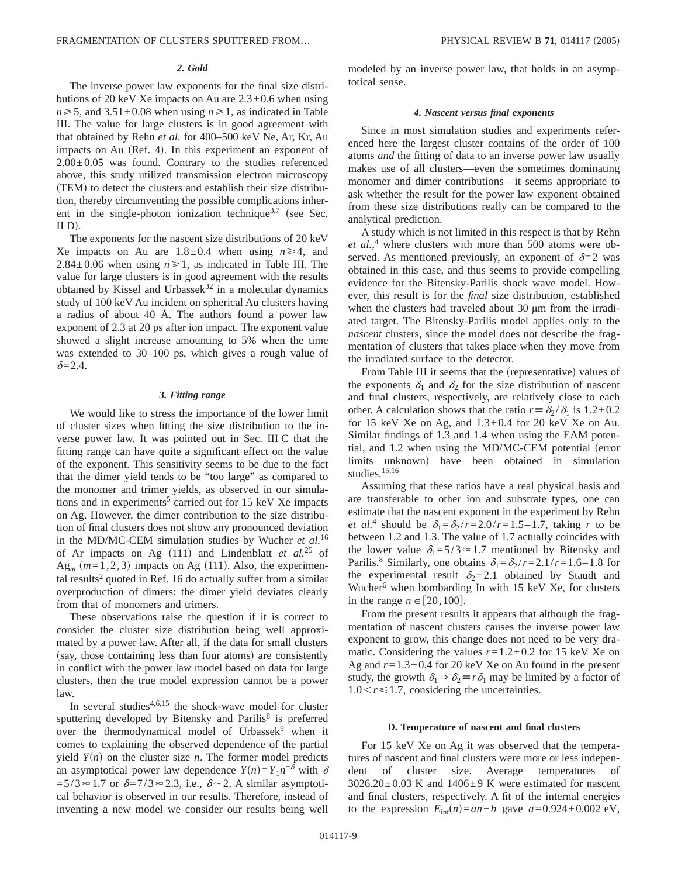### *2. Gold*

The inverse power law exponents for the final size distributions of 20 keV Xe impacts on Au are  $2.3\pm0.6$  when using  $n \ge 5$ , and  $3.51 \pm 0.08$  when using  $n \ge 1$ , as indicated in Table III. The value for large clusters is in good agreement with that obtained by Rehn *et al.* for 400–500 keV Ne, Ar, Kr, Au impacts on Au (Ref. 4). In this experiment an exponent of  $2.00\pm0.05$  was found. Contrary to the studies referenced above, this study utilized transmission electron microscopy (TEM) to detect the clusters and establish their size distribution, thereby circumventing the possible complications inherent in the single-photon ionization technique<sup>3,7</sup> (see Sec. II D.

The exponents for the nascent size distributions of 20 keV Xe impacts on Au are  $1.8 \pm 0.4$  when using  $n \ge 4$ , and 2.84 $\pm$ 0.06 when using  $n \ge 1$ , as indicated in Table III. The value for large clusters is in good agreement with the results obtained by Kissel and Urbassek $32$  in a molecular dynamics study of 100 keV Au incident on spherical Au clusters having a radius of about 40 Å. The authors found a power law exponent of 2.3 at 20 ps after ion impact. The exponent value showed a slight increase amounting to 5% when the time was extended to 30–100 ps, which gives a rough value of  $\delta = 2.4$ .

### *3. Fitting range*

We would like to stress the importance of the lower limit of cluster sizes when fitting the size distribution to the inverse power law. It was pointed out in Sec. III C that the fitting range can have quite a significant effect on the value of the exponent. This sensitivity seems to be due to the fact that the dimer yield tends to be "too large" as compared to the monomer and trimer yields, as observed in our simulations and in experiments<sup>5</sup> carried out for 15 keV Xe impacts on Ag. However, the dimer contribution to the size distribution of final clusters does not show any pronounced deviation in the MD/MC-CEM simulation studies by Wucher *et al.*<sup>16</sup> of Ar impacts on Ag  $(111)$  and Lindenblatt *et al.*<sup>25</sup> of  $Ag<sub>m</sub>$   $(m=1,2,3)$  impacts on Ag (111). Also, the experimental results<sup>2</sup> quoted in Ref. 16 do actually suffer from a similar overproduction of dimers: the dimer yield deviates clearly from that of monomers and trimers.

These observations raise the question if it is correct to consider the cluster size distribution being well approximated by a power law. After all, if the data for small clusters (say, those containing less than four atoms) are consistently in conflict with the power law model based on data for large clusters, then the true model expression cannot be a power law.

In several studies $4,6,15$  the shock-wave model for cluster sputtering developed by Bitensky and Parilis<sup>8</sup> is preferred over the thermodynamical model of Urbassek<sup>9</sup> when it comes to explaining the observed dependence of the partial yield  $Y(n)$  on the cluster size *n*. The former model predicts an asymptotical power law dependence  $Y(n)=Y_1n^{-\delta}$  with  $\delta$  $=5/3 \approx 1.7$  or  $\delta = 7/3 \approx 2.3$ , i.e.,  $\delta \sim 2$ . A similar asymptotical behavior is observed in our results. Therefore, instead of inventing a new model we consider our results being well modeled by an inverse power law, that holds in an asymptotical sense.

#### *4. Nascent versus final exponents*

Since in most simulation studies and experiments referenced here the largest cluster contains of the order of 100 atoms *and* the fitting of data to an inverse power law usually makes use of all clusters—even the sometimes dominating monomer and dimer contributions—it seems appropriate to ask whether the result for the power law exponent obtained from these size distributions really can be compared to the analytical prediction.

A study which is not limited in this respect is that by Rehn *et al.*, <sup>4</sup> where clusters with more than 500 atoms were observed. As mentioned previously, an exponent of  $\delta = 2$  was obtained in this case, and thus seems to provide compelling evidence for the Bitensky-Parilis shock wave model. However, this result is for the *final* size distribution, established when the clusters had traveled about 30  $\mu$ m from the irradiated target. The Bitensky-Parilis model applies only to the *nascent* clusters, since the model does not describe the fragmentation of clusters that takes place when they move from the irradiated surface to the detector.

From Table III it seems that the (representative) values of the exponents  $\delta_1$  and  $\delta_2$  for the size distribution of nascent and final clusters, respectively, are relatively close to each other. A calculation shows that the ratio  $r \equiv \delta_2 / \delta_1$  is 1.2±0.2 for 15 keV Xe on Ag, and  $1.3\pm0.4$  for 20 keV Xe on Au. Similar findings of 1.3 and 1.4 when using the EAM potential, and 1.2 when using the MD/MC-CEM potential (error limits unknown) have been obtained in simulation studies.<sup>15,16</sup>

Assuming that these ratios have a real physical basis and are transferable to other ion and substrate types, one can estimate that the nascent exponent in the experiment by Rehn *et al.*<sup>4</sup> should be  $\delta_1 = \delta_2 / r = 2.0 / r = 1.5 - 1.7$ , taking *r* to be between 1.2 and 1.3. The value of 1.7 actually coincides with the lower value  $\delta_1 = 5/3 \approx 1.7$  mentioned by Bitensky and Parilis.<sup>8</sup> Similarly, one obtains  $\delta_1 = \delta_2 / r = 2.1 / r = 1.6 - 1.8$  for the experimental result  $\delta_2=2.1$  obtained by Staudt and Wucher<sup>6</sup> when bombarding In with  $15 \text{ keV}$  Xe, for clusters in the range  $n \in [20,100]$ .

From the present results it appears that although the fragmentation of nascent clusters causes the inverse power law exponent to grow, this change does not need to be very dramatic. Considering the values  $r=1.2\pm0.2$  for 15 keV Xe on Ag and  $r=1.3\pm0.4$  for 20 keV Xe on Au found in the present study, the growth  $\delta_1 \Rightarrow \delta_2 \equiv r \delta_1$  may be limited by a factor of  $1.0 \le r \le 1.7$ , considering the uncertainties.

#### **D. Temperature of nascent and final clusters**

For 15 keV Xe on Ag it was observed that the temperatures of nascent and final clusters were more or less independent of cluster size. Average temperatures of  $3026.20 \pm 0.03$  K and  $1406 \pm 9$  K were estimated for nascent and final clusters, respectively. A fit of the internal energies to the expression  $E_{int}(n) = an - b$  gave  $a = 0.924 \pm 0.002$  eV,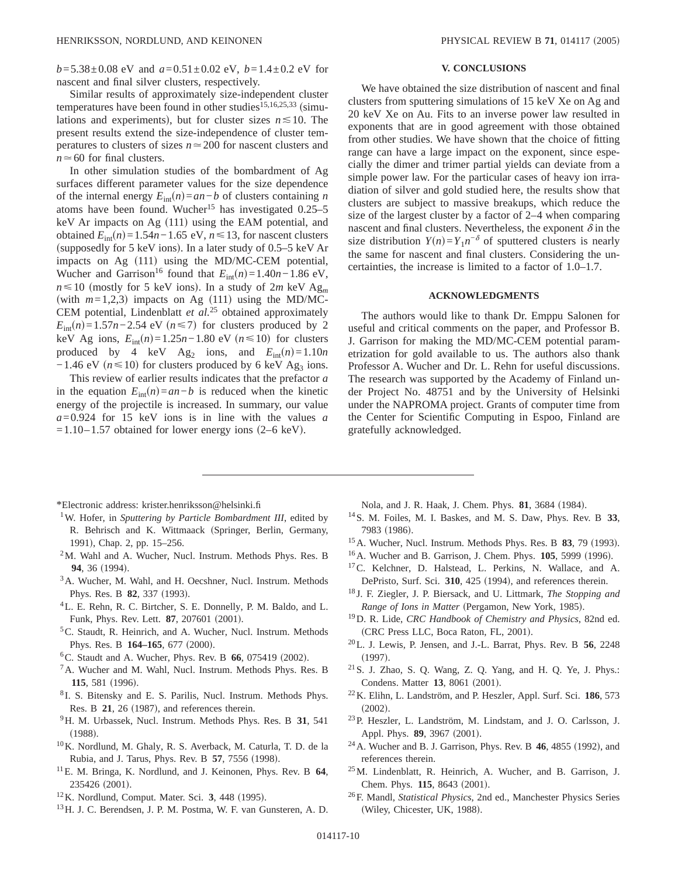*b*=5.38±0.08 eV and *a*=0.51±0.02 eV, *b*=1.4±0.2 eV for nascent and final silver clusters, respectively.

Similar results of approximately size-independent cluster temperatures have been found in other studies<sup>15,16,25,33</sup> (simulations and experiments), but for cluster sizes  $n \le 10$ . The present results extend the size-independence of cluster temperatures to clusters of sizes  $n \approx 200$  for nascent clusters and  $n \approx 60$  for final clusters.

In other simulation studies of the bombardment of Ag surfaces different parameter values for the size dependence of the internal energy  $E_{int}(n) = an - b$  of clusters containing *n* atoms have been found. Wucher<sup>15</sup> has investigated  $0.25-5$ keV Ar impacts on Ag  $(111)$  using the EAM potential, and obtained  $E_{int}(n) = 1.54n - 1.65$  eV,  $n \le 13$ , for nascent clusters (supposedly for 5 keV ions). In a later study of  $0.5-5$  keV Ar impacts on Ag  $(111)$  using the MD/MC-CEM potential, Wucher and Garrison<sup>16</sup> found that  $E_{int}(n) = 1.40n - 1.86$  eV,  $n \le 10$  (mostly for 5 keV ions). In a study of 2*m* keV Ag<sub>*m*</sub> (with  $m=1,2,3$ ) impacts on Ag (111) using the MD/MC-CEM potential, Lindenblatt *et al.*<sup>25</sup> obtained approximately  $E_{int}(n) = 1.57n - 2.54$  eV  $(n \le 7)$  for clusters produced by 2 keV Ag ions,  $E_{int}(n) = 1.25n - 1.80$  eV  $(n ≤ 10)$  for clusters produced by 4 keV Ag<sub>2</sub> ions, and  $E_{int}(n)=1.10n$  $-1.46$  eV ( $n \le 10$ ) for clusters produced by 6 keV Ag<sub>3</sub> ions.

This review of earlier results indicates that the prefactor *a* in the equation  $E_{int}(n) = an - b$  is reduced when the kinetic energy of the projectile is increased. In summary, our value *a*=0.924 for 15 keV ions is in line with the values *a*  $=1.10-1.57$  obtained for lower energy ions (2–6 keV).

## **V. CONCLUSIONS**

We have obtained the size distribution of nascent and final clusters from sputtering simulations of 15 keV Xe on Ag and 20 keV Xe on Au. Fits to an inverse power law resulted in exponents that are in good agreement with those obtained from other studies. We have shown that the choice of fitting range can have a large impact on the exponent, since especially the dimer and trimer partial yields can deviate from a simple power law. For the particular cases of heavy ion irradiation of silver and gold studied here, the results show that clusters are subject to massive breakups, which reduce the size of the largest cluster by a factor of 2–4 when comparing nascent and final clusters. Nevertheless, the exponent  $\delta$  in the size distribution  $Y(n) = Y_1 n^{-\delta}$  of sputtered clusters is nearly the same for nascent and final clusters. Considering the uncertainties, the increase is limited to a factor of 1.0–1.7.

## **ACKNOWLEDGMENTS**

The authors would like to thank Dr. Emppu Salonen for useful and critical comments on the paper, and Professor B. J. Garrison for making the MD/MC-CEM potential parametrization for gold available to us. The authors also thank Professor A. Wucher and Dr. L. Rehn for useful discussions. The research was supported by the Academy of Finland under Project No. 48751 and by the University of Helsinki under the NAPROMA project. Grants of computer time from the Center for Scientific Computing in Espoo, Finland are gratefully acknowledged.

- \*Electronic address: krister.henriksson@helsinki.fi
- 1W. Hofer, in *Sputtering by Particle Bombardment III*, edited by R. Behrisch and K. Wittmaack (Springer, Berlin, Germany, 1991), Chap. 2, pp. 15-256.
- 2M. Wahl and A. Wucher, Nucl. Instrum. Methods Phys. Res. B **94**, 36 (1994).
- <sup>3</sup>A. Wucher, M. Wahl, and H. Oecshner, Nucl. Instrum. Methods Phys. Res. B **82**, 337 (1993).
- 4L. E. Rehn, R. C. Birtcher, S. E. Donnelly, P. M. Baldo, and L. Funk, Phys. Rev. Lett. **87**, 207601 (2001).
- <sup>5</sup>C. Staudt, R. Heinrich, and A. Wucher, Nucl. Instrum. Methods Phys. Res. B 164-165, 677 (2000).
- ${}^{6}$ C. Staudt and A. Wucher, Phys. Rev. B  $66$ , 075419 (2002).
- 7A. Wucher and M. Wahl, Nucl. Instrum. Methods Phys. Res. B **115**, 581 (1996).
- <sup>8</sup> I. S. Bitensky and E. S. Parilis, Nucl. Instrum. Methods Phys. Res. B  $21$ ,  $26$  (1987), and references therein.
- 9H. M. Urbassek, Nucl. Instrum. Methods Phys. Res. B **31**, 541  $(1988)$ .
- 10K. Nordlund, M. Ghaly, R. S. Averback, M. Caturla, T. D. de la Rubia, and J. Tarus, Phys. Rev. B 57, 7556 (1998).
- 11E. M. Bringa, K. Nordlund, and J. Keinonen, Phys. Rev. B **64**, 235426 (2001).
- <sup>12</sup>K. Nordlund, Comput. Mater. Sci. 3, 448 (1995).
- 13H. J. C. Berendsen, J. P. M. Postma, W. F. van Gunsteren, A. D.

Nola, and J. R. Haak, J. Chem. Phys. 81, 3684 (1984).

- 14S. M. Foiles, M. I. Baskes, and M. S. Daw, Phys. Rev. B **33**, 7983 (1986).
- <sup>15</sup> A. Wucher, Nucl. Instrum. Methods Phys. Res. B **83**, 79 (1993).
- <sup>16</sup>A. Wucher and B. Garrison, J. Chem. Phys. **105**, 5999 (1996).
- <sup>17</sup>C. Kelchner, D. Halstead, L. Perkins, N. Wallace, and A. DePristo, Surf. Sci. 310, 425 (1994), and references therein.
- <sup>18</sup> J. F. Ziegler, J. P. Biersack, and U. Littmark, *The Stopping and Range of Ions in Matter* (Pergamon, New York, 1985).
- 19D. R. Lide, *CRC Handbook of Chemistry and Physics*, 82nd ed. (CRC Press LLC, Boca Raton, FL, 2001).
- 20L. J. Lewis, P. Jensen, and J.-L. Barrat, Phys. Rev. B **56**, 2248  $(1997).$
- 21S. J. Zhao, S. Q. Wang, Z. Q. Yang, and H. Q. Ye, J. Phys.: Condens. Matter 13, 8061 (2001).
- 22K. Elihn, L. Landström, and P. Heszler, Appl. Surf. Sci. **186**, 573  $(2002).$
- 23P. Heszler, L. Landström, M. Lindstam, and J. O. Carlsson, J. Appl. Phys. **89**, 3967 (2001).
- <sup>24</sup> A. Wucher and B. J. Garrison, Phys. Rev. B **46**, 4855 (1992), and references therein.
- 25M. Lindenblatt, R. Heinrich, A. Wucher, and B. Garrison, J. Chem. Phys. **115**, 8643 (2001).
- 26F. Mandl, *Statistical Physics*, 2nd ed., Manchester Physics Series (Wiley, Chicester, UK, 1988).